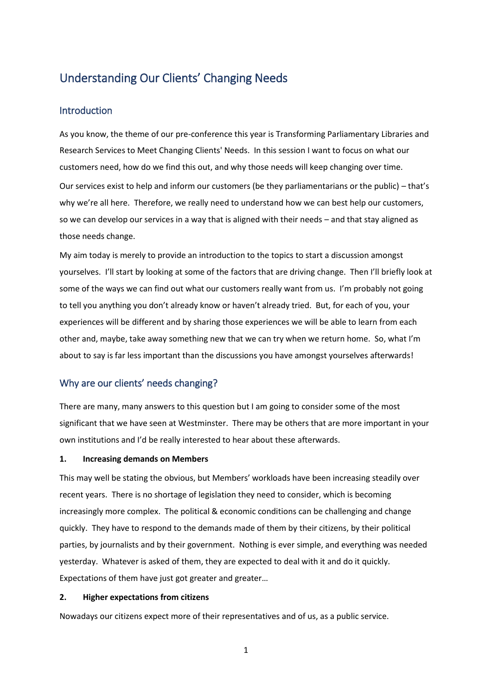# Understanding Our Clients' Changing Needs

# Introduction

As you know, the theme of our pre-conference this year is Transforming Parliamentary Libraries and Research Services to Meet Changing Clients' Needs. In this session I want to focus on what our customers need, how do we find this out, and why those needs will keep changing over time. Our services exist to help and inform our customers (be they parliamentarians or the public) – that's why we're all here. Therefore, we really need to understand how we can best help our customers, so we can develop our services in a way that is aligned with their needs – and that stay aligned as those needs change.

My aim today is merely to provide an introduction to the topics to start a discussion amongst yourselves. I'll start by looking at some of the factors that are driving change. Then I'll briefly look at some of the ways we can find out what our customers really want from us. I'm probably not going to tell you anything you don't already know or haven't already tried. But, for each of you, your experiences will be different and by sharing those experiences we will be able to learn from each other and, maybe, take away something new that we can try when we return home. So, what I'm about to say is far less important than the discussions you have amongst yourselves afterwards!

# Why are our clients' needs changing?

There are many, many answers to this question but I am going to consider some of the most significant that we have seen at Westminster. There may be others that are more important in your own institutions and I'd be really interested to hear about these afterwards.

#### **1. Increasing demands on Members**

This may well be stating the obvious, but Members' workloads have been increasing steadily over recent years. There is no shortage of legislation they need to consider, which is becoming increasingly more complex. The political & economic conditions can be challenging and change quickly. They have to respond to the demands made of them by their citizens, by their political parties, by journalists and by their government. Nothing is ever simple, and everything was needed yesterday. Whatever is asked of them, they are expected to deal with it and do it quickly. Expectations of them have just got greater and greater…

### **2. Higher expectations from citizens**

Nowadays our citizens expect more of their representatives and of us, as a public service.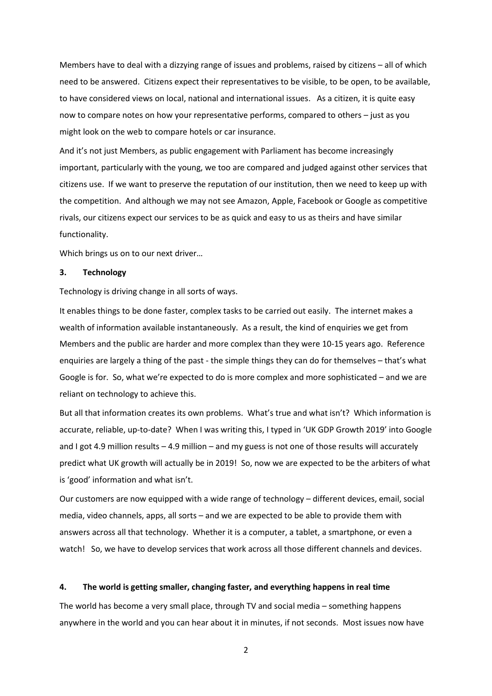Members have to deal with a dizzying range of issues and problems, raised by citizens – all of which need to be answered. Citizens expect their representatives to be visible, to be open, to be available, to have considered views on local, national and international issues. As a citizen, it is quite easy now to compare notes on how your representative performs, compared to others – just as you might look on the web to compare hotels or car insurance.

And it's not just Members, as public engagement with Parliament has become increasingly important, particularly with the young, we too are compared and judged against other services that citizens use. If we want to preserve the reputation of our institution, then we need to keep up with the competition. And although we may not see Amazon, Apple, Facebook or Google as competitive rivals, our citizens expect our services to be as quick and easy to us as theirs and have similar functionality.

Which brings us on to our next driver…

#### **3. Technology**

Technology is driving change in all sorts of ways.

It enables things to be done faster, complex tasks to be carried out easily. The internet makes a wealth of information available instantaneously. As a result, the kind of enquiries we get from Members and the public are harder and more complex than they were 10-15 years ago. Reference enquiries are largely a thing of the past - the simple things they can do for themselves – that's what Google is for. So, what we're expected to do is more complex and more sophisticated – and we are reliant on technology to achieve this.

But all that information creates its own problems. What's true and what isn't? Which information is accurate, reliable, up-to-date? When I was writing this, I typed in 'UK GDP Growth 2019' into Google and I got 4.9 million results – 4.9 million – and my guess is not one of those results will accurately predict what UK growth will actually be in 2019! So, now we are expected to be the arbiters of what is 'good' information and what isn't.

Our customers are now equipped with a wide range of technology – different devices, email, social media, video channels, apps, all sorts – and we are expected to be able to provide them with answers across all that technology. Whether it is a computer, a tablet, a smartphone, or even a watch! So, we have to develop services that work across all those different channels and devices.

#### **4. The world is getting smaller, changing faster, and everything happens in real time**

The world has become a very small place, through TV and social media – something happens anywhere in the world and you can hear about it in minutes, if not seconds. Most issues now have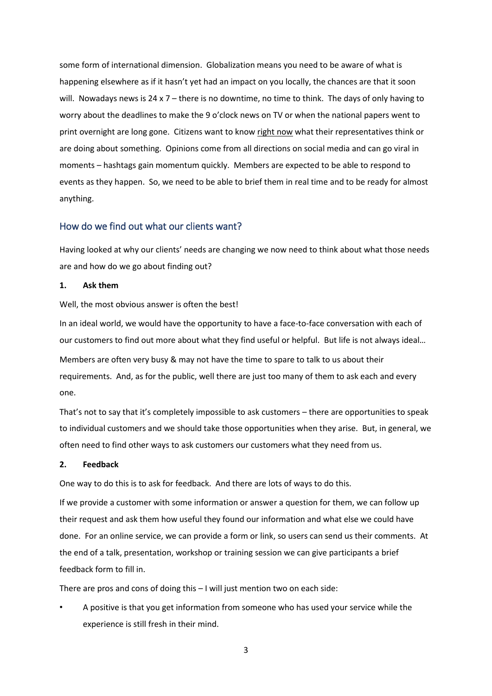some form of international dimension. Globalization means you need to be aware of what is happening elsewhere as if it hasn't yet had an impact on you locally, the chances are that it soon will. Nowadays news is  $24 \times 7$  – there is no downtime, no time to think. The days of only having to worry about the deadlines to make the 9 o'clock news on TV or when the national papers went to print overnight are long gone. Citizens want to know right now what their representatives think or are doing about something. Opinions come from all directions on social media and can go viral in moments – hashtags gain momentum quickly. Members are expected to be able to respond to events as they happen. So, we need to be able to brief them in real time and to be ready for almost anything.

# How do we find out what our clients want?

Having looked at why our clients' needs are changing we now need to think about what those needs are and how do we go about finding out?

#### **1. Ask them**

Well, the most obvious answer is often the best!

In an ideal world, we would have the opportunity to have a face-to-face conversation with each of our customers to find out more about what they find useful or helpful. But life is not always ideal… Members are often very busy & may not have the time to spare to talk to us about their requirements. And, as for the public, well there are just too many of them to ask each and every one.

That's not to say that it's completely impossible to ask customers – there are opportunities to speak to individual customers and we should take those opportunities when they arise. But, in general, we often need to find other ways to ask customers our customers what they need from us.

#### **2. Feedback**

One way to do this is to ask for feedback. And there are lots of ways to do this.

If we provide a customer with some information or answer a question for them, we can follow up their request and ask them how useful they found our information and what else we could have done. For an online service, we can provide a form or link, so users can send us their comments. At the end of a talk, presentation, workshop or training session we can give participants a brief feedback form to fill in.

There are pros and cons of doing this – I will just mention two on each side:

• A positive is that you get information from someone who has used your service while the experience is still fresh in their mind.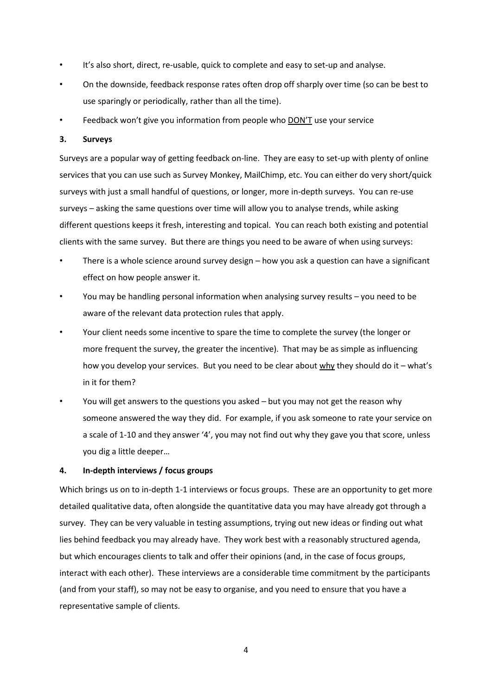- It's also short, direct, re-usable, quick to complete and easy to set-up and analyse.
- On the downside, feedback response rates often drop off sharply over time (so can be best to use sparingly or periodically, rather than all the time).
- Feedback won't give you information from people who **DON'T** use your service

## **3. Surveys**

Surveys are a popular way of getting feedback on-line. They are easy to set-up with plenty of online services that you can use such as Survey Monkey, MailChimp, etc. You can either do very short/quick surveys with just a small handful of questions, or longer, more in-depth surveys. You can re-use surveys – asking the same questions over time will allow you to analyse trends, while asking different questions keeps it fresh, interesting and topical. You can reach both existing and potential clients with the same survey. But there are things you need to be aware of when using surveys:

- There is a whole science around survey design how you ask a question can have a significant effect on how people answer it.
- You may be handling personal information when analysing survey results you need to be aware of the relevant data protection rules that apply.
- Your client needs some incentive to spare the time to complete the survey (the longer or more frequent the survey, the greater the incentive). That may be as simple as influencing how you develop your services. But you need to be clear about why they should do it – what's in it for them?
- You will get answers to the questions you asked but you may not get the reason why someone answered the way they did. For example, if you ask someone to rate your service on a scale of 1-10 and they answer '4', you may not find out why they gave you that score, unless you dig a little deeper…

# **4. In-depth interviews / focus groups**

Which brings us on to in-depth 1-1 interviews or focus groups. These are an opportunity to get more detailed qualitative data, often alongside the quantitative data you may have already got through a survey. They can be very valuable in testing assumptions, trying out new ideas or finding out what lies behind feedback you may already have. They work best with a reasonably structured agenda, but which encourages clients to talk and offer their opinions (and, in the case of focus groups, interact with each other). These interviews are a considerable time commitment by the participants (and from your staff), so may not be easy to organise, and you need to ensure that you have a representative sample of clients.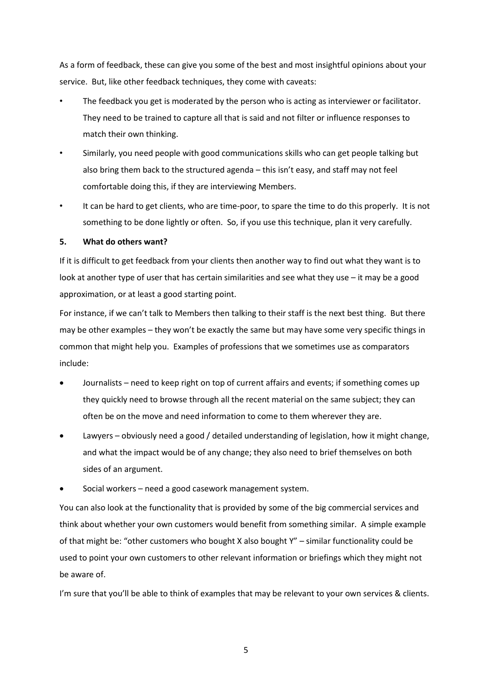As a form of feedback, these can give you some of the best and most insightful opinions about your service. But, like other feedback techniques, they come with caveats:

- The feedback you get is moderated by the person who is acting as interviewer or facilitator. They need to be trained to capture all that is said and not filter or influence responses to match their own thinking.
- Similarly, you need people with good communications skills who can get people talking but also bring them back to the structured agenda – this isn't easy, and staff may not feel comfortable doing this, if they are interviewing Members.
- It can be hard to get clients, who are time-poor, to spare the time to do this properly. It is not something to be done lightly or often. So, if you use this technique, plan it very carefully.

## **5. What do others want?**

If it is difficult to get feedback from your clients then another way to find out what they want is to look at another type of user that has certain similarities and see what they use – it may be a good approximation, or at least a good starting point.

For instance, if we can't talk to Members then talking to their staff is the next best thing. But there may be other examples – they won't be exactly the same but may have some very specific things in common that might help you. Examples of professions that we sometimes use as comparators include:

- Journalists need to keep right on top of current affairs and events; if something comes up they quickly need to browse through all the recent material on the same subject; they can often be on the move and need information to come to them wherever they are.
- Lawyers obviously need a good / detailed understanding of legislation, how it might change, and what the impact would be of any change; they also need to brief themselves on both sides of an argument.
- Social workers need a good casework management system.

You can also look at the functionality that is provided by some of the big commercial services and think about whether your own customers would benefit from something similar. A simple example of that might be: "other customers who bought X also bought Y" – similar functionality could be used to point your own customers to other relevant information or briefings which they might not be aware of.

I'm sure that you'll be able to think of examples that may be relevant to your own services & clients.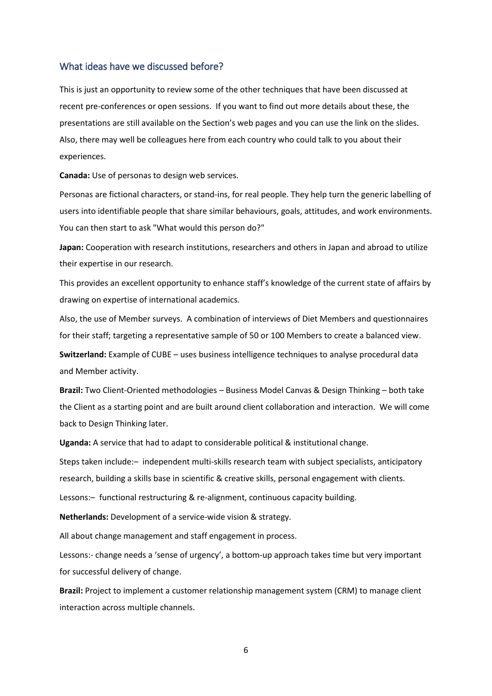# What ideas have we discussed before?

This is just an opportunity to review some of the other techniques that have been discussed at recent pre-conferences or open sessions. If you want to find out more details about these, the presentations are still available on the Section's web pages and you can use the link on the slides. Also, there may well be colleagues here from each country who could talk to you about their experiences.

**Canada:** Use of personas to design web services.

Personas are fictional characters, or stand-ins, for real people. They help turn the generic labelling of users into identifiable people that share similar behaviours, goals, attitudes, and work environments. You can then start to ask "What would this person do?"

**Japan:** Cooperation with research institutions, researchers and others in Japan and abroad to utilize their expertise in our research.

This provides an excellent opportunity to enhance staff's knowledge of the current state of affairs by drawing on expertise of international academics.

Also, the use of Member surveys. A combination of interviews of Diet Members and questionnaires for their staff; targeting a representative sample of 50 or 100 Members to create a balanced view.

**Switzerland:** Example of CUBE – uses business intelligence techniques to analyse procedural data and Member activity.

**Brazil:** Two Client-Oriented methodologies – Business Model Canvas & Design Thinking – both take the Client as a starting point and are built around client collaboration and interaction. We will come back to Design Thinking later.

**Uganda:** A service that had to adapt to considerable political & institutional change.

Steps taken include:– independent multi-skills research team with subject specialists, anticipatory research, building a skills base in scientific & creative skills, personal engagement with clients.

Lessons:– functional restructuring & re-alignment, continuous capacity building.

**Netherlands:** Development of a service-wide vision & strategy.

All about change management and staff engagement in process.

Lessons:- change needs a 'sense of urgency', a bottom-up approach takes time but very important for successful delivery of change.

**Brazil:** Project to implement a customer relationship management system (CRM) to manage client interaction across multiple channels.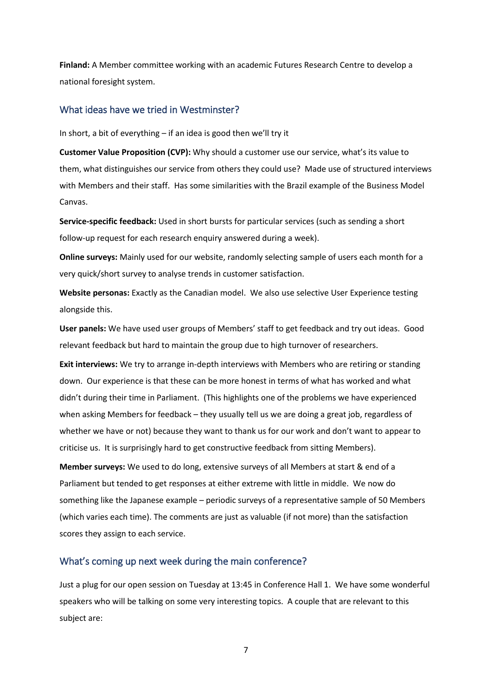**Finland:** A Member committee working with an academic Futures Research Centre to develop a national foresight system.

# What ideas have we tried in Westminster?

In short, a bit of everything – if an idea is good then we'll try it

**Customer Value Proposition (CVP):** Why should a customer use our service, what's its value to them, what distinguishes our service from others they could use? Made use of structured interviews with Members and their staff. Has some similarities with the Brazil example of the Business Model Canvas.

**Service-specific feedback:** Used in short bursts for particular services (such as sending a short follow-up request for each research enquiry answered during a week).

**Online surveys:** Mainly used for our website, randomly selecting sample of users each month for a very quick/short survey to analyse trends in customer satisfaction.

**Website personas:** Exactly as the Canadian model. We also use selective User Experience testing alongside this.

**User panels:** We have used user groups of Members' staff to get feedback and try out ideas. Good relevant feedback but hard to maintain the group due to high turnover of researchers.

**Exit interviews:** We try to arrange in-depth interviews with Members who are retiring or standing down. Our experience is that these can be more honest in terms of what has worked and what didn't during their time in Parliament. (This highlights one of the problems we have experienced when asking Members for feedback – they usually tell us we are doing a great job, regardless of whether we have or not) because they want to thank us for our work and don't want to appear to criticise us. It is surprisingly hard to get constructive feedback from sitting Members).

**Member surveys:** We used to do long, extensive surveys of all Members at start & end of a Parliament but tended to get responses at either extreme with little in middle. We now do something like the Japanese example – periodic surveys of a representative sample of 50 Members (which varies each time). The comments are just as valuable (if not more) than the satisfaction scores they assign to each service.

# What's coming up next week during the main conference?

Just a plug for our open session on Tuesday at 13:45 in Conference Hall 1. We have some wonderful speakers who will be talking on some very interesting topics. A couple that are relevant to this subject are: